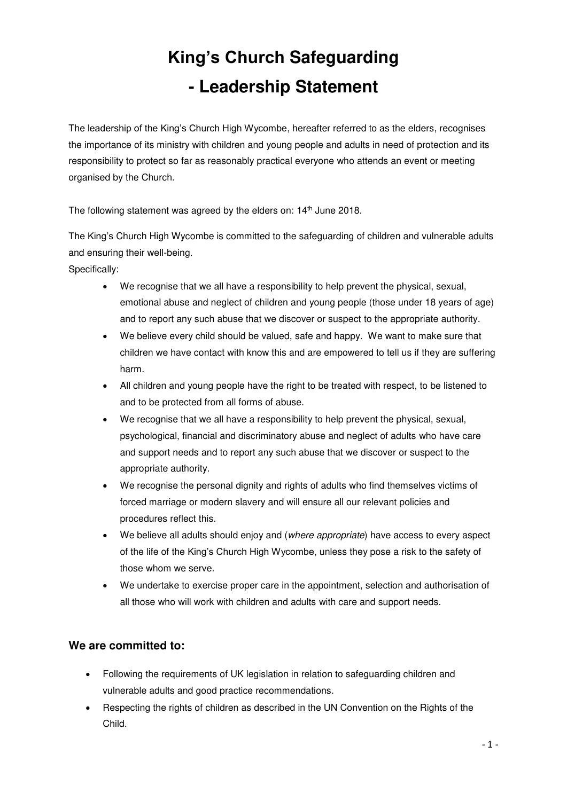## **King's Church Safeguarding - Leadership Statement**

The leadership of the King's Church High Wycombe, hereafter referred to as the elders, recognises the importance of its ministry with children and young people and adults in need of protection and its responsibility to protect so far as reasonably practical everyone who attends an event or meeting organised by the Church.

The following statement was agreed by the elders on: 14<sup>th</sup> June 2018.

The King's Church High Wycombe is committed to the safeguarding of children and vulnerable adults and ensuring their well-being.

Specifically:

- We recognise that we all have a responsibility to help prevent the physical, sexual, emotional abuse and neglect of children and young people (those under 18 years of age) and to report any such abuse that we discover or suspect to the appropriate authority.
- We believe every child should be valued, safe and happy. We want to make sure that children we have contact with know this and are empowered to tell us if they are suffering harm.
- All children and young people have the right to be treated with respect, to be listened to and to be protected from all forms of abuse.
- We recognise that we all have a responsibility to help prevent the physical, sexual, psychological, financial and discriminatory abuse and neglect of adults who have care and support needs and to report any such abuse that we discover or suspect to the appropriate authority.
- We recognise the personal dignity and rights of adults who find themselves victims of forced marriage or modern slavery and will ensure all our relevant policies and procedures reflect this.
- We believe all adults should enjoy and (where appropriate) have access to every aspect of the life of the King's Church High Wycombe, unless they pose a risk to the safety of those whom we serve.
- We undertake to exercise proper care in the appointment, selection and authorisation of all those who will work with children and adults with care and support needs.

## **We are committed to:**

- Following the requirements of UK legislation in relation to safeguarding children and vulnerable adults and good practice recommendations.
- Respecting the rights of children as described in the UN Convention on the Rights of the Child.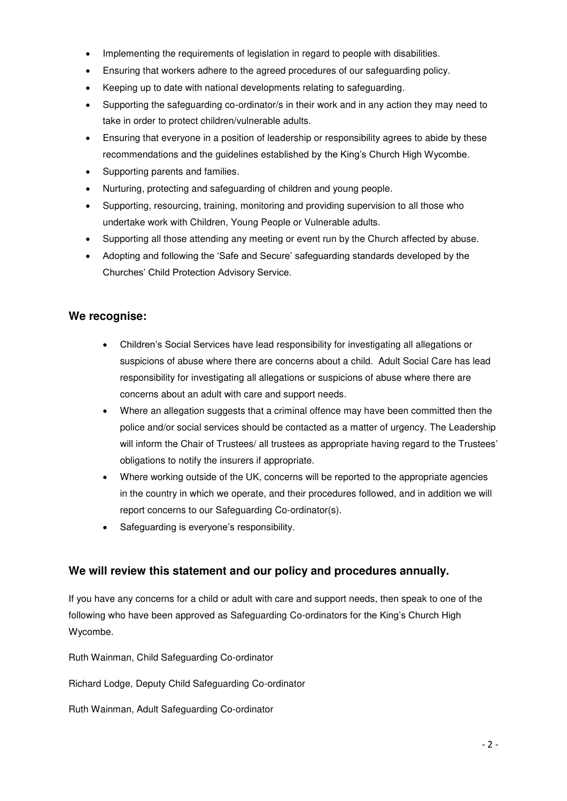- Implementing the requirements of legislation in regard to people with disabilities.
- Ensuring that workers adhere to the agreed procedures of our safeguarding policy.
- Keeping up to date with national developments relating to safeguarding.
- Supporting the safeguarding co-ordinator/s in their work and in any action they may need to take in order to protect children/vulnerable adults.
- Ensuring that everyone in a position of leadership or responsibility agrees to abide by these recommendations and the guidelines established by the King's Church High Wycombe.
- Supporting parents and families.
- Nurturing, protecting and safeguarding of children and young people.
- Supporting, resourcing, training, monitoring and providing supervision to all those who undertake work with Children, Young People or Vulnerable adults.
- Supporting all those attending any meeting or event run by the Church affected by abuse.
- Adopting and following the 'Safe and Secure' safeguarding standards developed by the Churches' Child Protection Advisory Service.

## **We recognise:**

- Children's Social Services have lead responsibility for investigating all allegations or suspicions of abuse where there are concerns about a child. Adult Social Care has lead responsibility for investigating all allegations or suspicions of abuse where there are concerns about an adult with care and support needs.
- Where an allegation suggests that a criminal offence may have been committed then the police and/or social services should be contacted as a matter of urgency. The Leadership will inform the Chair of Trustees/ all trustees as appropriate having regard to the Trustees' obligations to notify the insurers if appropriate.
- Where working outside of the UK, concerns will be reported to the appropriate agencies in the country in which we operate, and their procedures followed, and in addition we will report concerns to our Safeguarding Co-ordinator(s).
- Safeguarding is everyone's responsibility.

## **We will review this statement and our policy and procedures annually.**

If you have any concerns for a child or adult with care and support needs, then speak to one of the following who have been approved as Safeguarding Co-ordinators for the King's Church High Wycombe.

Ruth Wainman, Child Safeguarding Co-ordinator

Richard Lodge, Deputy Child Safeguarding Co-ordinator

Ruth Wainman, Adult Safeguarding Co-ordinator